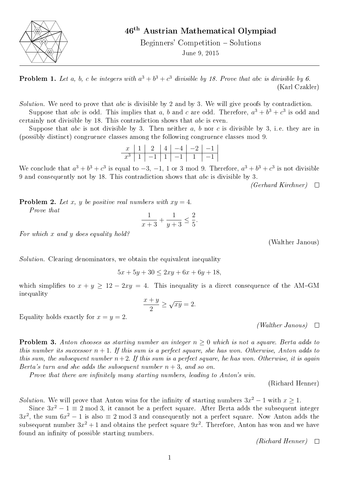

## 46th Austrian Mathematical Olympiad

Beginners' Competition – Solutions June 9, 2015

**Problem 1.** Let a, b, c be integers with  $a^3 + b^3 + c^3$  divisible by 18. Prove that abc is divisible by 6. (Karl Czakler)

Solution. We need to prove that abc is divisible by 2 and by 3. We will give proofs by contradiction.

Suppose that abc is odd. This implies that a, b and c are odd. Therefore,  $a^3 + b^3 + c^3$  is odd and certainly not divisible by 18. This contradiction shows that abc is even.

Suppose that abc is not divisible by 3. Then neither a, b nor c is divisible by 3, i.e. they are in (possibly distinct) congruence classes among the following congruence classes mod 9.

x 1 2 4 −4 −2 −1 x <sup>3</sup> 1 −1 1 −1 1 −1

We conclude that  $a^3 + b^3 + c^3$  is equal to  $-3$ ,  $-1$ , 1 or 3 mod 9. Therefore,  $a^3 + b^3 + c^3$  is not divisible 9 and consequently not by 18. This contradiction shows that abc is divisible by 3.

 $(Gerhard Kirchner)$   $\Box$ 

**Problem 2.** Let x, y be positive real numbers with  $xy = 4$ . Prove that

$$
\frac{1}{x+3} + \frac{1}{y+3} \le \frac{2}{5}.
$$

For which x and y does equality hold?

(Walther Janous)

Solution. Clearing denominators, we obtain the equivalent inequality

 $5x + 5y + 30 \leq 2xy + 6x + 6y + 18$ ,

which simplifies to  $x + y \ge 12 - 2xy = 4$ . This inequality is a direct consequence of the AM-GM inequality

$$
\frac{x+y}{2} \ge \sqrt{xy} = 2.
$$

Equality holds exactly for  $x = y = 2$ .

 $(Wather\ Janous)$   $\Box$ 

**Problem 3.** Anton chooses as starting number an integer  $n > 0$  which is not a square. Berta adds to this number its successor  $n + 1$ . If this sum is a perfect square, she has won. Otherwise, Anton adds to this sum, the subsequent number  $n+2$ . If this sum is a perfect square, he has won. Otherwise, it is again Berta's turn and she adds the subsequent number  $n + 3$ , and so on.

Prove that there are infinitely many starting numbers, leading to Anton's win.

(Richard Henner)

Solution. We will prove that Anton wins for the infinity of starting numbers  $3x^2 - 1$  with  $x \ge 1$ .

Since  $3x^2 - 1 \equiv 2 \mod 3$ , it cannot be a perfect square. After Berta adds the subsequent integer  $3x^2$ , the sum  $6x^2 - 1$  is also  $\equiv 2 \mod 3$  and consequently not a perfect square. Now Anton adds the subsequent number  $3x^2+1$  and obtains the perfect square  $9x^2$ . Therefore, Anton has won and we have found an infinity of possible starting numbers.

 $(Richard\ Henner)$   $\Box$